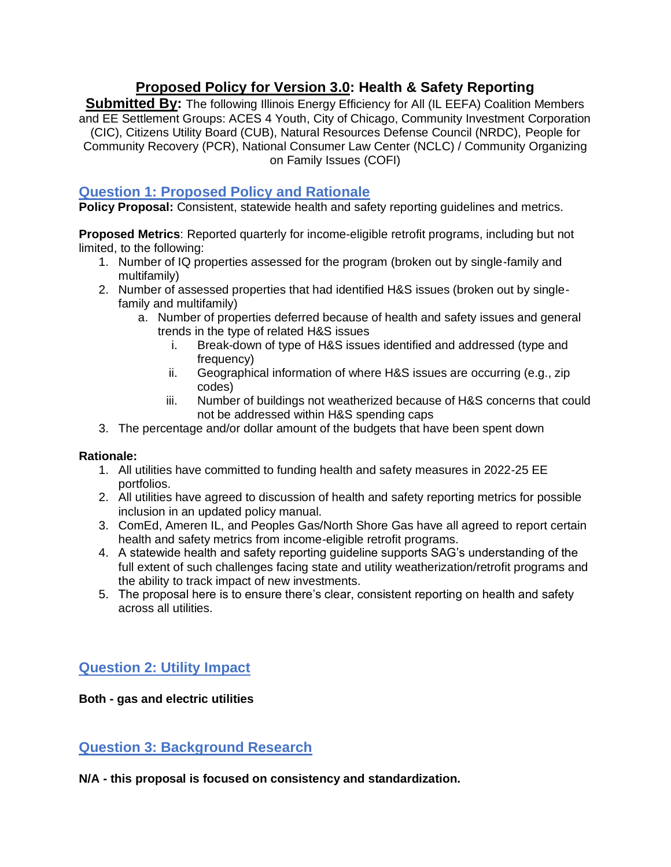## **Proposed Policy for Version 3.0: Health & Safety Reporting**

**Submitted By:** The following Illinois Energy Efficiency for All (IL EEFA) Coalition Members and EE Settlement Groups: ACES 4 Youth, City of Chicago, Community Investment Corporation (CIC), Citizens Utility Board (CUB), Natural Resources Defense Council (NRDC), People for Community Recovery (PCR), National Consumer Law Center (NCLC) / Community Organizing on Family Issues (COFI)

### **Question 1: Proposed Policy and Rationale**

**Policy Proposal:** Consistent, statewide health and safety reporting guidelines and metrics.

**Proposed Metrics**: Reported quarterly for income-eligible retrofit programs, including but not limited, to the following:

- 1. Number of IQ properties assessed for the program (broken out by single-family and multifamily)
- 2. Number of assessed properties that had identified H&S issues (broken out by singlefamily and multifamily)
	- a. Number of properties deferred because of health and safety issues and general trends in the type of related H&S issues
		- i. Break-down of type of H&S issues identified and addressed (type and frequency)
		- ii. Geographical information of where H&S issues are occurring (e.g., zip codes)
		- iii. Number of buildings not weatherized because of H&S concerns that could not be addressed within H&S spending caps
- 3. The percentage and/or dollar amount of the budgets that have been spent down

#### **Rationale:**

- 1. All utilities have committed to funding health and safety measures in 2022-25 EE portfolios.
- 2. All utilities have agreed to discussion of health and safety reporting metrics for possible inclusion in an updated policy manual.
- 3. ComEd, Ameren IL, and Peoples Gas/North Shore Gas have all agreed to report certain health and safety metrics from income-eligible retrofit programs.
- 4. A statewide health and safety reporting guideline supports SAG's understanding of the full extent of such challenges facing state and utility weatherization/retrofit programs and the ability to track impact of new investments.
- 5. The proposal here is to ensure there's clear, consistent reporting on health and safety across all utilities.

# **Question 2: Utility Impact**

**Both - gas and electric utilities** 

**Question 3: Background Research** 

**N/A - this proposal is focused on consistency and standardization.**